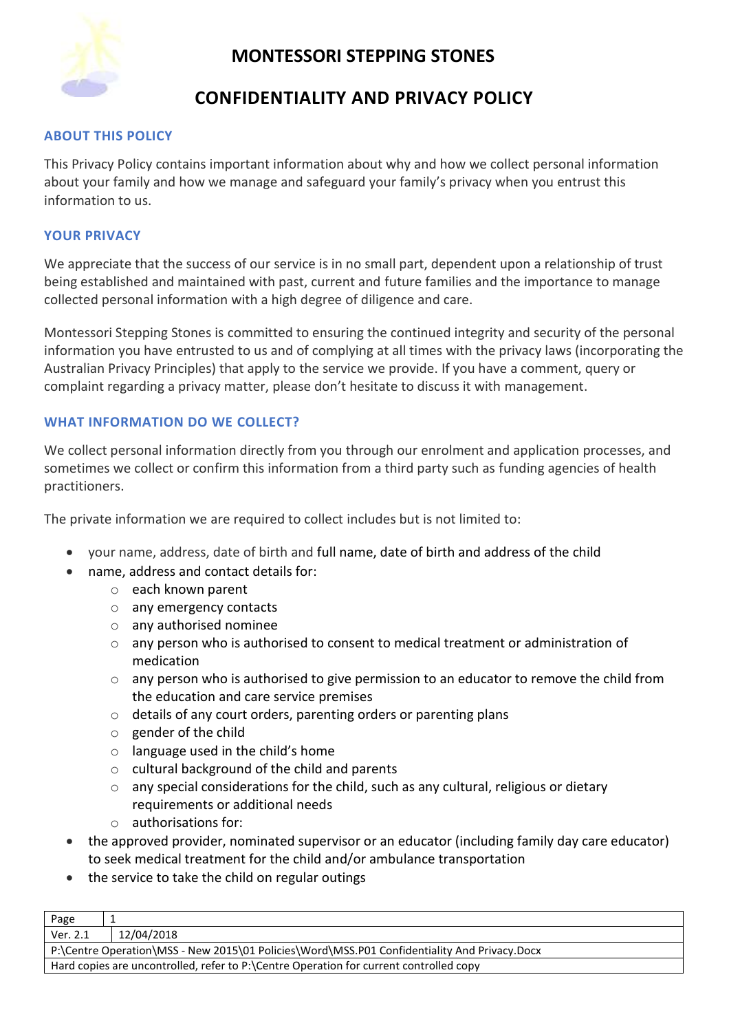

### **CONFIDENTIALITY AND PRIVACY POLICY**

#### **ABOUT THIS POLICY**

This Privacy Policy contains important information about why and how we collect personal information about your family and how we manage and safeguard your family's privacy when you entrust this information to us.

#### **YOUR PRIVACY**

We appreciate that the success of our service is in no small part, dependent upon a relationship of trust being established and maintained with past, current and future families and the importance to manage collected personal information with a high degree of diligence and care.

Montessori Stepping Stones is committed to ensuring the continued integrity and security of the personal information you have entrusted to us and of complying at all times with the privacy laws (incorporating the Australian Privacy Principles) that apply to the service we provide. If you have a comment, query or complaint regarding a privacy matter, please don't hesitate to discuss it with management.

#### **WHAT INFORMATION DO WE COLLECT?**

We collect personal information directly from you through our enrolment and application processes, and sometimes we collect or confirm this information from a third party such as funding agencies of health practitioners.

The private information we are required to collect includes but is not limited to:

- your name, address, date of birth and full name, date of birth and address of the child
- name, address and contact details for:
	- o each known parent
	- o any emergency contacts
	- o any authorised nominee
	- $\circ$  any person who is authorised to consent to medical treatment or administration of medication
	- $\circ$  any person who is authorised to give permission to an educator to remove the child from the education and care service premises
	- $\circ$  details of any court orders, parenting orders or parenting plans
	- o gender of the child
	- o language used in the child's home
	- o cultural background of the child and parents
	- $\circ$  any special considerations for the child, such as any cultural, religious or dietary requirements or additional needs
	- o authorisations for:
- the approved provider, nominated supervisor or an educator (including family day care educator) to seek medical treatment for the child and/or ambulance transportation
- the service to take the child on regular outings

| Page                                                                                         |            |
|----------------------------------------------------------------------------------------------|------------|
| Ver. 2.1                                                                                     | 12/04/2018 |
| P:\Centre Operation\MSS - New 2015\01 Policies\Word\MSS.P01 Confidentiality And Privacy.Docx |            |
| Hard copies are uncontrolled, refer to P:\Centre Operation for current controlled copy       |            |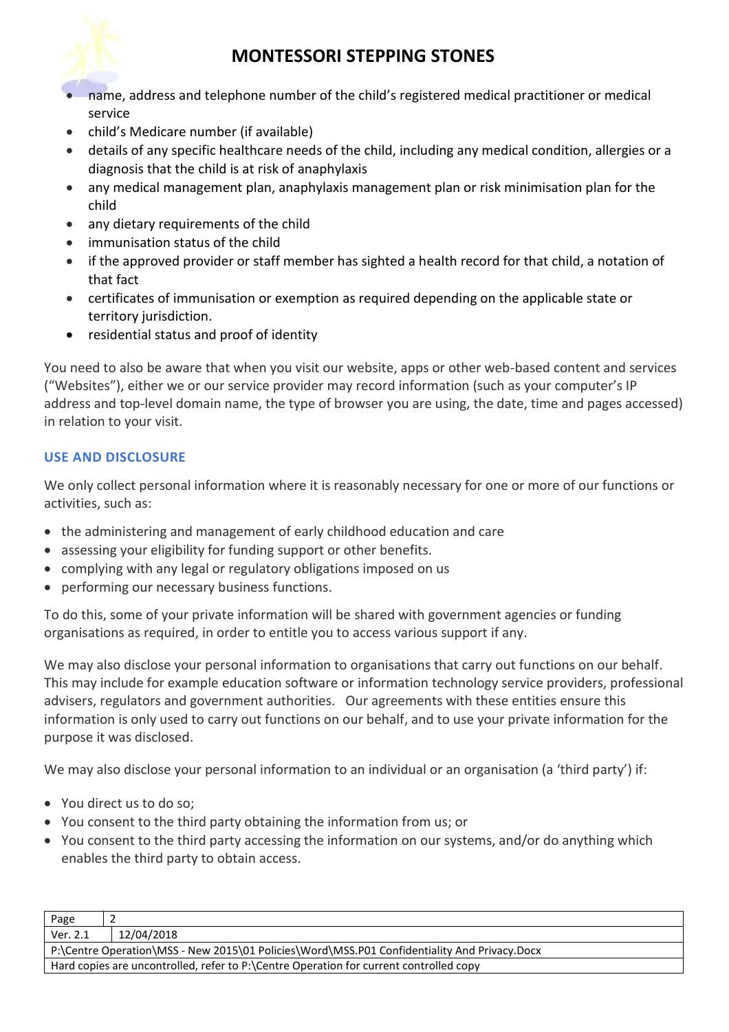

- name, address and telephone number of the child's registered medical practitioner or medical service
- child's Medicare number (if available)
- details of any specific healthcare needs of the child, including any medical condition, allergies or a diagnosis that the child is at risk of anaphylaxis
- any medical management plan, anaphylaxis management plan or risk minimisation plan for the child
- any dietary requirements of the child
- immunisation status of the child
- if the approved provider or staff member has sighted a health record for that child, a notation of that fact
- certificates of immunisation or exemption as required depending on the applicable state or territory jurisdiction.
- residential status and proof of identity

You need to also be aware that when you visit our website, apps or other web-based content and services ("Websites"), either we or our service provider may record information (such as your computer's IP address and top-level domain name, the type of browser you are using, the date, time and pages accessed) in relation to your visit.

### **USE AND DISCLOSURE**

We only collect personal information where it is reasonably necessary for one or more of our functions or activities, such as:

- the administering and management of early childhood education and care
- assessing your eligibility for funding support or other benefits.
- complying with any legal or regulatory obligations imposed on us
- performing our necessary business functions.

To do this, some of your private information will be shared with government agencies or funding organisations as required, in order to entitle you to access various support if any.

We may also disclose your personal information to organisations that carry out functions on our behalf. This may include for example education software or information technology service providers, professional advisers, regulators and government authorities. Our agreements with these entities ensure this information is only used to carry out functions on our behalf, and to use your private information for the purpose it was disclosed.

We may also disclose your personal information to an individual or an organisation (a 'third party') if:

- You direct us to do so;
- You consent to the third party obtaining the information from us; or
- You consent to the third party accessing the information on our systems, and/or do anything which enables the third party to obtain access.

| Page                                                                                         |            |
|----------------------------------------------------------------------------------------------|------------|
| Ver. 2.1                                                                                     | 12/04/2018 |
| P:\Centre Operation\MSS - New 2015\01 Policies\Word\MSS.P01 Confidentiality And Privacy.Docx |            |
| Hard copies are uncontrolled, refer to P:\Centre Operation for current controlled copy       |            |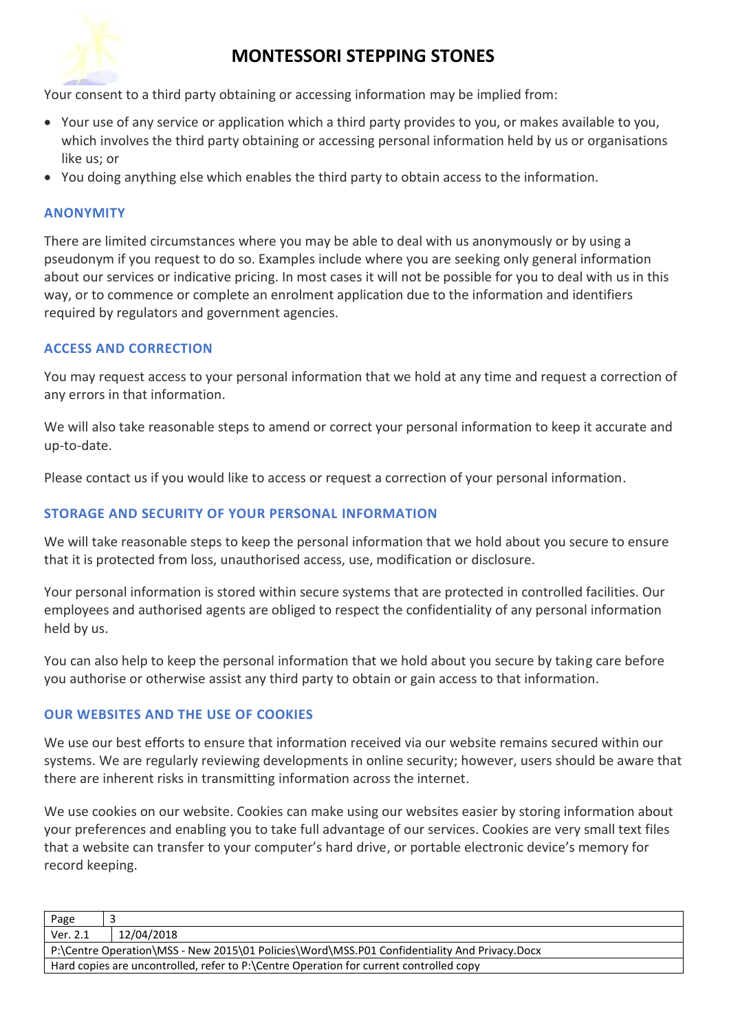

Your consent to a third party obtaining or accessing information may be implied from:

- Your use of any service or application which a third party provides to you, or makes available to you, which involves the third party obtaining or accessing personal information held by us or organisations like us; or
- You doing anything else which enables the third party to obtain access to the information.

#### **ANONYMITY**

There are limited circumstances where you may be able to deal with us anonymously or by using a pseudonym if you request to do so. Examples include where you are seeking only general information about our services or indicative pricing. In most cases it will not be possible for you to deal with us in this way, or to commence or complete an enrolment application due to the information and identifiers required by regulators and government agencies.

#### **ACCESS AND CORRECTION**

You may request access to your personal information that we hold at any time and request a correction of any errors in that information.

We will also take reasonable steps to amend or correct your personal information to keep it accurate and up-to-date.

Please contact us if you would like to access or request a correction of your personal information.

#### **STORAGE AND SECURITY OF YOUR PERSONAL INFORMATION**

We will take reasonable steps to keep the personal information that we hold about you secure to ensure that it is protected from loss, unauthorised access, use, modification or disclosure.

Your personal information is stored within secure systems that are protected in controlled facilities. Our employees and authorised agents are obliged to respect the confidentiality of any personal information held by us.

You can also help to keep the personal information that we hold about you secure by taking care before you authorise or otherwise assist any third party to obtain or gain access to that information.

#### **OUR WEBSITES AND THE USE OF COOKIES**

We use our best efforts to ensure that information received via our website remains secured within our systems. We are regularly reviewing developments in online security; however, users should be aware that there are inherent risks in transmitting information across the internet.

We use cookies on our website. Cookies can make using our websites easier by storing information about your preferences and enabling you to take full advantage of our services. Cookies are very small text files that a website can transfer to your computer's hard drive, or portable electronic device's memory for record keeping.

| Page                                                                                         |            |
|----------------------------------------------------------------------------------------------|------------|
| Ver. 2.1                                                                                     | 12/04/2018 |
| P:\Centre Operation\MSS - New 2015\01 Policies\Word\MSS.P01 Confidentiality And Privacy.Docx |            |
| Hard copies are uncontrolled, refer to P:\Centre Operation for current controlled copy       |            |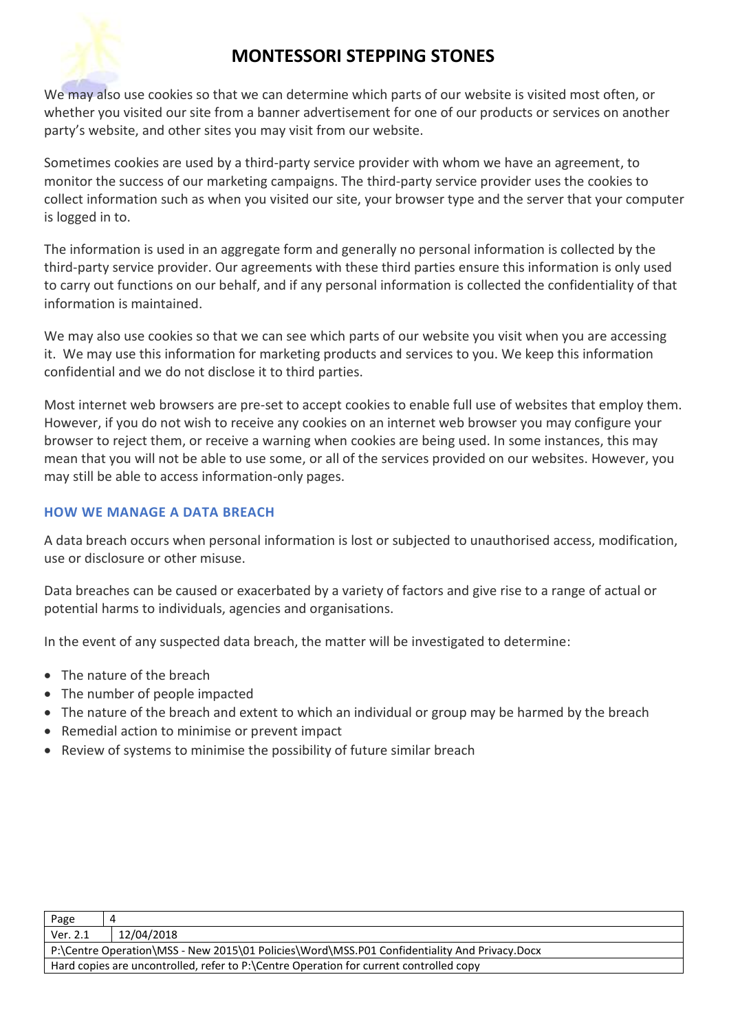

We may also use cookies so that we can determine which parts of our website is visited most often, or whether you visited our site from a banner advertisement for one of our products or services on another party's website, and other sites you may visit from our website.

Sometimes cookies are used by a third-party service provider with whom we have an agreement, to monitor the success of our marketing campaigns. The third-party service provider uses the cookies to collect information such as when you visited our site, your browser type and the server that your computer is logged in to.

The information is used in an aggregate form and generally no personal information is collected by the third-party service provider. Our agreements with these third parties ensure this information is only used to carry out functions on our behalf, and if any personal information is collected the confidentiality of that information is maintained.

We may also use cookies so that we can see which parts of our website you visit when you are accessing it. We may use this information for marketing products and services to you. We keep this information confidential and we do not disclose it to third parties.

Most internet web browsers are pre-set to accept cookies to enable full use of websites that employ them. However, if you do not wish to receive any cookies on an internet web browser you may configure your browser to reject them, or receive a warning when cookies are being used. In some instances, this may mean that you will not be able to use some, or all of the services provided on our websites. However, you may still be able to access information-only pages.

### **HOW WE MANAGE A DATA BREACH**

A data breach occurs when personal information is lost or subjected to unauthorised access, modification, use or disclosure or other misuse.

Data breaches can be caused or exacerbated by a variety of factors and give rise to a range of actual or potential harms to individuals, agencies and organisations.

In the event of any suspected data breach, the matter will be investigated to determine:

- The nature of the breach
- The number of people impacted
- The nature of the breach and extent to which an individual or group may be harmed by the breach
- Remedial action to minimise or prevent impact
- Review of systems to minimise the possibility of future similar breach

| Page                                                                                         |            |
|----------------------------------------------------------------------------------------------|------------|
| Ver. 2.1                                                                                     | 12/04/2018 |
| P:\Centre Operation\MSS - New 2015\01 Policies\Word\MSS.P01 Confidentiality And Privacy.Docx |            |
| Hard copies are uncontrolled, refer to P:\Centre Operation for current controlled copy       |            |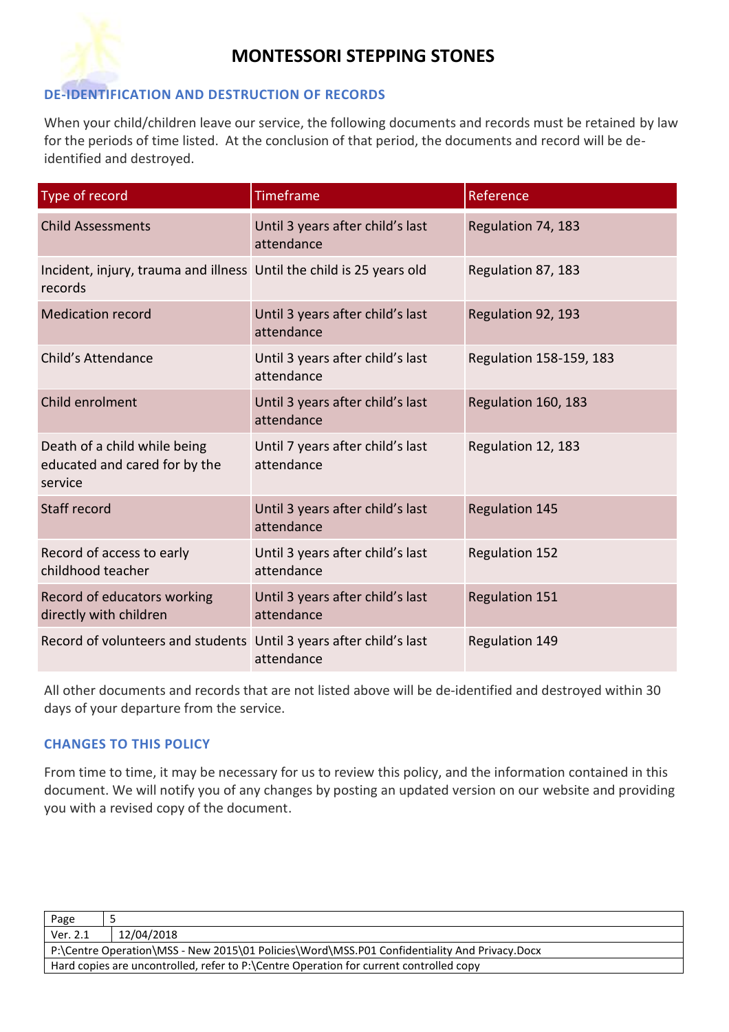

#### **DE-IDENTIFICATION AND DESTRUCTION OF RECORDS**

When your child/children leave our service, the following documents and records must be retained by law for the periods of time listed. At the conclusion of that period, the documents and record will be deidentified and destroyed.

| Type of record                                                                  | Timeframe                                      | Reference               |
|---------------------------------------------------------------------------------|------------------------------------------------|-------------------------|
| <b>Child Assessments</b>                                                        | Until 3 years after child's last<br>attendance | Regulation 74, 183      |
| Incident, injury, trauma and illness Until the child is 25 years old<br>records |                                                | Regulation 87, 183      |
| <b>Medication record</b>                                                        | Until 3 years after child's last<br>attendance | Regulation 92, 193      |
| Child's Attendance                                                              | Until 3 years after child's last<br>attendance | Regulation 158-159, 183 |
| Child enrolment                                                                 | Until 3 years after child's last<br>attendance | Regulation 160, 183     |
| Death of a child while being<br>educated and cared for by the<br>service        | Until 7 years after child's last<br>attendance | Regulation 12, 183      |
| Staff record                                                                    | Until 3 years after child's last<br>attendance | <b>Regulation 145</b>   |
| Record of access to early<br>childhood teacher                                  | Until 3 years after child's last<br>attendance | <b>Regulation 152</b>   |
| Record of educators working<br>directly with children                           | Until 3 years after child's last<br>attendance | <b>Regulation 151</b>   |
| Record of volunteers and students Until 3 years after child's last              | attendance                                     | Regulation 149          |

All other documents and records that are not listed above will be de-identified and destroyed within 30 days of your departure from the service.

#### **CHANGES TO THIS POLICY**

From time to time, it may be necessary for us to review this policy, and the information contained in this document. We will notify you of any changes by posting an updated version on our website and providing you with a revised copy of the document.

| Page                                                                                         |            |
|----------------------------------------------------------------------------------------------|------------|
| Ver. 2.1                                                                                     | 12/04/2018 |
| P:\Centre Operation\MSS - New 2015\01 Policies\Word\MSS.P01 Confidentiality And Privacy.Docx |            |
| Hard copies are uncontrolled, refer to P:\Centre Operation for current controlled copy       |            |